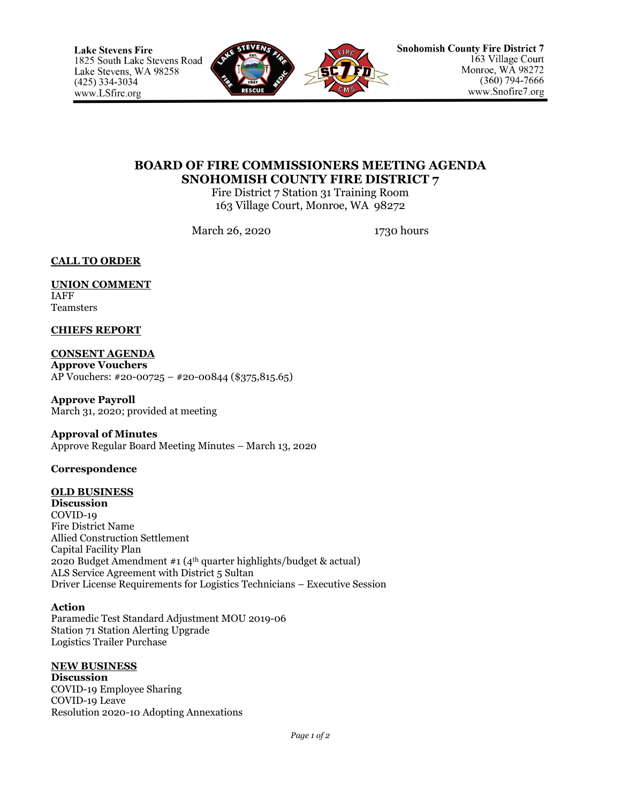

# **BOARD OF FIRE COMMISSIONERS MEETING AGENDA SNOHOMISH COUNTY FIRE DISTRICT 7**

Fire District 7 Station 31 Training Room 163 Village Court, Monroe, WA 98272

March 26, 2020 1730 hours

**CALL TO ORDER**

**UNION COMMENT** IAFF Teamsters

**CHIEFS REPORT**

**CONSENT AGENDA Approve Vouchers** AP Vouchers: #20-00725 – #20-00844 (\$375,815.65)

**Approve Payroll** March 31, 2020; provided at meeting

**Approval of Minutes**

Approve Regular Board Meeting Minutes – March 13, 2020

**Correspondence**

# **OLD BUSINESS**

**Discussion** COVID-19 Fire District Name Allied Construction Settlement Capital Facility Plan 2020 Budget Amendment #1 (4th quarter highlights/budget & actual) ALS Service Agreement with District 5 Sultan Driver License Requirements for Logistics Technicians – Executive Session

### **Action**

Paramedic Test Standard Adjustment MOU 2019-06 Station 71 Station Alerting Upgrade Logistics Trailer Purchase

### **NEW BUSINESS**

**Discussion** COVID-19 Employee Sharing COVID-19 Leave Resolution 2020-10 Adopting Annexations